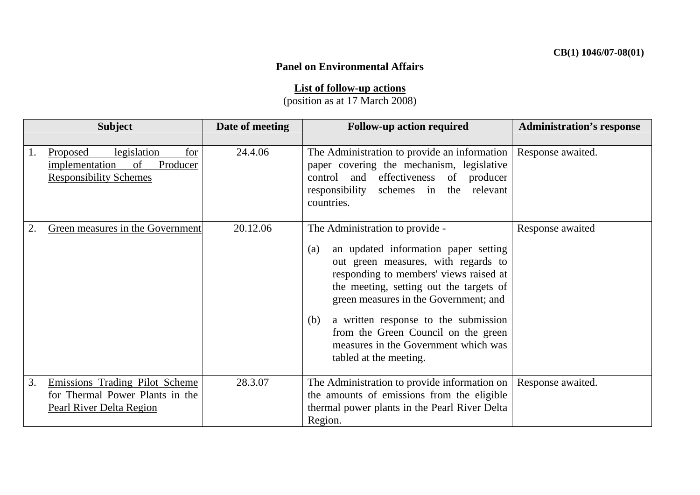## **Panel on Environmental Affairs**

**List of follow-up actions**

(position as at 17 March 2008)

| <b>Subject</b> |                                                                                                     | Date of meeting | <b>Follow-up action required</b>                                                                                                                                                                                                                                                                                                                                                                            | <b>Administration's response</b> |
|----------------|-----------------------------------------------------------------------------------------------------|-----------------|-------------------------------------------------------------------------------------------------------------------------------------------------------------------------------------------------------------------------------------------------------------------------------------------------------------------------------------------------------------------------------------------------------------|----------------------------------|
| 1.             | legislation<br>for<br>Proposed<br>Producer<br>implementation<br>of<br><b>Responsibility Schemes</b> | 24.4.06         | The Administration to provide an information<br>paper covering the mechanism, legislative<br>control and effectiveness of producer<br>responsibility schemes in the relevant<br>countries.                                                                                                                                                                                                                  | Response awaited.                |
|                | Green measures in the Government                                                                    | 20.12.06        | The Administration to provide -<br>an updated information paper setting<br>(a)<br>out green measures, with regards to<br>responding to members' views raised at<br>the meeting, setting out the targets of<br>green measures in the Government; and<br>a written response to the submission<br>(b)<br>from the Green Council on the green<br>measures in the Government which was<br>tabled at the meeting. | Response awaited                 |
| 3.             | Emissions Trading Pilot Scheme<br>for Thermal Power Plants in the<br>Pearl River Delta Region       | 28.3.07         | The Administration to provide information on<br>the amounts of emissions from the eligible<br>thermal power plants in the Pearl River Delta<br>Region.                                                                                                                                                                                                                                                      | Response awaited.                |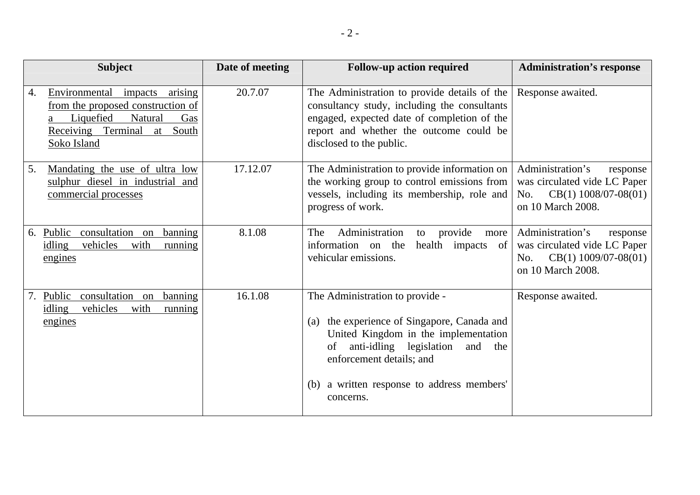|    | <b>Subject</b>                                                                                                                                        | Date of meeting | <b>Follow-up action required</b>                                                                                                                                                                                                                             | <b>Administration's response</b>                                                                                   |
|----|-------------------------------------------------------------------------------------------------------------------------------------------------------|-----------------|--------------------------------------------------------------------------------------------------------------------------------------------------------------------------------------------------------------------------------------------------------------|--------------------------------------------------------------------------------------------------------------------|
| 4. | Environmental impacts arising<br>from the proposed construction of<br>Liquefied<br>Natural<br>Gas<br>Receiving Terminal<br>South<br>at<br>Soko Island | 20.7.07         | The Administration to provide details of the<br>consultancy study, including the consultants<br>engaged, expected date of completion of the<br>report and whether the outcome could be<br>disclosed to the public.                                           | Response awaited.                                                                                                  |
| 5. | Mandating the use of ultra low<br>sulphur diesel in industrial and<br>commercial processes                                                            | 17.12.07        | The Administration to provide information on<br>the working group to control emissions from<br>vessels, including its membership, role and<br>progress of work.                                                                                              | Administration's<br>response<br>was circulated vide LC Paper<br>$CB(1)$ 1008/07-08(01)<br>No.<br>on 10 March 2008. |
| 6. | Public<br>consultation on<br>banning<br>vehicles<br>idling<br>with<br>running<br>engines                                                              | 8.1.08          | Administration<br>provide<br>The<br>to<br>more<br>health impacts of<br>information on the<br>vehicular emissions.                                                                                                                                            | Administration's<br>response<br>was circulated vide LC Paper<br>$CB(1)$ 1009/07-08(01)<br>No.<br>on 10 March 2008. |
| 7. | consultation on<br>Public<br>banning<br>vehicles<br>idling<br>with<br>running<br>engines                                                              | 16.1.08         | The Administration to provide -<br>the experience of Singapore, Canada and<br>(a)<br>United Kingdom in the implementation<br>anti-idling legislation and the<br>of<br>enforcement details; and<br>a written response to address members'<br>(b)<br>concerns. | Response awaited.                                                                                                  |